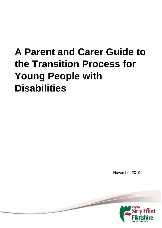# **A Parent and Carer Guide to the Transition Process for Young People with Disabilities**

November 2019

 $\overline{\phantom{0}}$ 

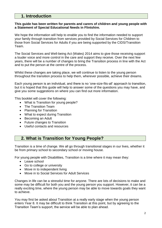# **1. Introduction**

#### **This guide has been written for parents and carers of children and young people with a Statement of Special Educational Needs in Flintshire.**

We hope the information will help to enable you to find the information needed to support your family through transition from services provided by Social Services for Children to those from Social Services for Adults if you are being supported by the CIDS/Transition Team.

The Social Services and Well-being Act (Wales) 2014 aims to give those receiving support a louder voice and more control in the care and support they receive. Over the next few years, there will be a number of changes to bring the Transition process in line with the Act and to put the person at the centre of the process.

Whilst these changes are taking place, we will continue to listen to the young person throughout the transition process to help them, wherever possible, achieve their dreams.

Each young person is an individual, and there is no 'one-size-fits-all' approach to transition, but it is hoped that this guide will help to answer some of the questions you may have, and give you some suggestions on where you can find out more information.

This booklet will cover the following:

- What is Transition for young people?
- The Transition Team
- Planning for Transition
- What to expect during Transition
- Becoming an Adult
- Future changes to Transition
- Useful contacts and resources

# **2. What is Transition for Young People?**

Transition is a time of change. We all go through transitional stages in our lives, whether it be from primary school to secondary school or moving house.

For young people with Disabilities, Transition is a time where it may mean they:

- Leave school
- Go to college or university
- Move in to independent living
- Move in to Social Services for Adult Services

Changes in life can be a stressful time for anyone. There are lots of decisions to make and some may be difficult for both you and the young person you support. However, it can be a really exciting time, where the young person may be able to move towards goals they want to achieve.

You may first be asked about Transition at a really early stage when the young person enters Year 8. It may be difficult to think Transition at this point, but by agreeing to the Transition Team's support, the service will be able to plan ahead.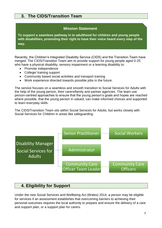# **3. The CIDS/Transition Team**

# **Mission Statement**

**To support a seamless pathway in to adulthood for children and young people with disabilities, promoting their right to have their voice heard every step of the way.**

Recently, the Children's Integrated Disability Service (CIDS) and the Transition Team have merged. The CIDS/Transition Team aim to provide support for young people aged 0-25 who have a physical disability, sensory impairment or a learning disability to:

- Promote independence
- College/ training support
- Community based social activities and transport training
- Work experience directed towards possible jobs in the future.

The service focuses on a seamless and smooth transition to Social Services for Adults with the help of the young person, their carers/family and partner agencies. The team use person-centred approaches to ensure that the young person's goals and hopes are reached where possible, that the young person in valued, can make informed choices and supported to learn everyday skills.

The CIDS/Transition Team sits within Social Services for Adults, but works closely with Social Services for Children in areas like safeguarding.



# **4. Eligibility for Support**

Under the new Social Services and Wellbeing Act (Wales) 2014, a person may be eligible for services if an assessment establishes that overcoming barriers to achieving their personal outcomes requires the local authority to prepare and ensure the delivery of a care and support plan, or a support plan for carers.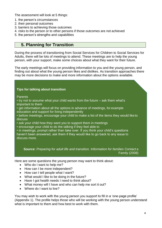The assessment will look at 5 things:

- 1. the person's circumstances
- 2. their personal outcomes
- 3. barriers to achieving those outcomes
- 4. risks to the person or to other persons if those outcomes are not achieved
- 5. the person's strengths and capabilities

# **5. Planning for Transition**

During the process of transitioning from Social Services for Children to Social Services for Adults, there will be lots of meetings to attend. These meetings are to help the young person, with your support, make some choices about what they want for their future.

The early meetings will focus on providing information to you and the young person, and finding out about what the young person likes and dislikes. As transition approaches there may be more decisions to make and more information about the options available.

#### **Tips for talking about transition**

**Parents** 

• try not to assume what your child wants from the future – ask them what's important to them

- get information about all the options in advance of meetings, for example education and support for living independently
- before meetings, encourage your child to make a list of the items they would like to discuss
- ask your child how they want you to support them in meetings
- encourage your child to do the talking if they feel able to

• in meetings, prompt rather than take over. If you think your child's questions haven't been answered, ask them if they would like to go back to any issue to discuss more.

**Source**: *Preparing for adult life and transition. Information for families* Contact a Family (2008)

Here are some questions the young person may want to think about:

- Who do I want to help me?
- How can I be more independent?
- How can I tell people what I want?
- What would I like to be doing in the future?
- Have I got health needs I need to think about?
- What money will I have and who can help me sort it out?
- Where do I want to live?

You may wish to work with the young person you support to fill in a 'one-page profile' (Appendix 1). The profile helps those who will be working with the young person understand what is important to them and how best to work with them.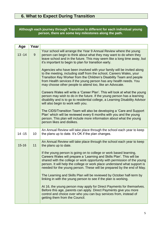# **6. What to Expect During Transition**

## **Although each journey through Transition is different for each individual young person, there are some key milestones along the path.**

| Age       | Year            |                                                                                                                                                                                                                                                                                                                                                                                                                                                                                                                                                                                                                                                                                                                                                                                                                                                                                   |
|-----------|-----------------|-----------------------------------------------------------------------------------------------------------------------------------------------------------------------------------------------------------------------------------------------------------------------------------------------------------------------------------------------------------------------------------------------------------------------------------------------------------------------------------------------------------------------------------------------------------------------------------------------------------------------------------------------------------------------------------------------------------------------------------------------------------------------------------------------------------------------------------------------------------------------------------|
| $13 - 14$ | 9               | Your school will arrange the Year 9 Annual Review where the young<br>person can begin to think about what they may want to do when they<br>leave school and in the future. This may seem like a long time away, but<br>it's important to begin to plan for transition early.                                                                                                                                                                                                                                                                                                                                                                                                                                                                                                                                                                                                      |
|           |                 | Agencies who have been involved with your family will be invited along<br>to the meeting, including staff from the school, Careers Wales, your<br>Transition Key Worker from the Children's Disability Team and people<br>from Health services if the young person has any health needs. You<br>may choose other people to attend too, like an Advocate.                                                                                                                                                                                                                                                                                                                                                                                                                                                                                                                          |
|           |                 | Careers Wales will write a 'Career Plan'. This will look at what the young<br>person may wish to do in the future. If the young person has a learning<br>disability and is to go to residential college, a Learning Disability Advisor<br>will also begin to work with you.                                                                                                                                                                                                                                                                                                                                                                                                                                                                                                                                                                                                       |
|           |                 | The CIDS/Transition Team will also be developing a 'Care and Support<br>Plan' which will be reviewed every 6 months with you and the young<br>person. This plan will include more information about what the young<br>person likes and dislikes.                                                                                                                                                                                                                                                                                                                                                                                                                                                                                                                                                                                                                                  |
| $14 - 15$ | 10 <sup>1</sup> | An Annual Review will take place through the school each year to keep<br>the plans up to date. It's OK if the plan changes.                                                                                                                                                                                                                                                                                                                                                                                                                                                                                                                                                                                                                                                                                                                                                       |
| $15 - 16$ | 11              | An Annual Review will take place through the school each year to keep<br>the plans up to date.<br>If the young person is going on to college or work based learning,<br>Careers Wales will prepare a 'Learning and Skills Plan'. This will be<br>shared with the college or work opportunity with permission of the young<br>person. It will help the college or work place understand what support is<br>needed for the young person. These will be prepared by the end of May.<br>The Learning and Skills Plan will be reviewed by October half-term by<br>linking in with the young person to see if the plan is working.<br>At 16, the young person may apply for Direct Payments for themselves.<br>Before this age, parents can apply. Direct Payments give you more<br>control and choice over who you can buy services from, instead of<br>getting them from the Council. |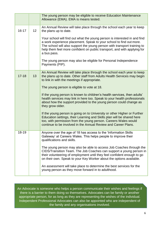|           |    | The young person may be eligible to receive Education Maintenance<br>Allowance (EMA). EMA is means tested.                                                                                                                                                                                   |
|-----------|----|----------------------------------------------------------------------------------------------------------------------------------------------------------------------------------------------------------------------------------------------------------------------------------------------|
| $16 - 17$ | 12 | An Annual Review will take place through the school each year to keep<br>the plans up to date.<br>Your school will find out what the young person is interested in and find                                                                                                                  |
|           |    | a work experience placement. Speak to your school to find out more.<br>The school will also support the young person with transport training to<br>help them feel more confident on public transport, and with applying for<br>a bus pass.                                                   |
|           |    | The young person may also be eligible for Personal Independence<br>Payments (PIP).                                                                                                                                                                                                           |
| $17 - 18$ | 13 | An Annual Review will take place through the school each year to keep<br>the plans up to date. Other staff from Adults Health Services may begin<br>to link in with the meetings if appropriate.                                                                                             |
|           |    | The young person is eligible to vote at 18.                                                                                                                                                                                                                                                  |
|           |    | If the young person is known to children's health services, then adults'<br>health services may link in here too. Speak to your health professionals<br>about how the support provided to the young person could change as<br>they grow older.                                               |
|           |    | If the young person is going on to University or other Higher or Further<br>Education settings, their Learning and Skills plan will be shared here<br>too, with permission from the young person. Careers Wales would<br>continue to be involved in the Annual Review and Career Plans.      |
| 18-19     |    | Anyone over the age of 18 has access to the 'Information Skills<br>Gateway' at Careers Wales. This helps people to improve their<br>qualifications and skills.                                                                                                                               |
|           |    | The young person may also be able to access Job Coaches through the<br>CIDS/Transition Team. The Job Coaches can support a young person in<br>their volunteering of employment until they feel confident enough to go<br>on their own. Speak to your Key Worker about the options available. |
|           |    | An assessment will take place to determine the best services for the<br>young person as they move forward in to adulthood.                                                                                                                                                                   |

An Advocate is someone who helps a person communicate their wishes and feelings if there is a barrier to them doing so themselves. Advocates can be family or another appropriate person, for as long as they are representing the wishes of the individual. Independent Professional Advocates can also be appointed who are independent of the family and any organisations involved.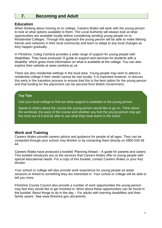# **7. Becoming and Adult**

#### **Education**

When thinking about moving on to college, Careers Wales will work with the young person to look at what options available to them. The Local Authority will always look at what opportunities are available locally before considering sending young people on to Residential Colleges. Through this approach the young person will be able to make lifelong friends and networks in their local community and learn to adapt to any local changes as they happen gradually.

In Flintshire, Coleg Cambria provides a wide range of support for young people with disabilities. They have produced 'A guide to support and services for students with a disability' which gives more information on what is available at the college. You can also explore their website at [www.cambria.ac.uk](http://www.cambria.ac.uk/)

There are also residential settings in the local area. Young people may wish to attend a residential college if their needs cannot be met locally. It is important however, to discuss this early in the transition process to ensure that this is the best option for the young person and that funding for the placement can be secured from Welsh Government.

#### **Top Tips**

Visit your local college to find out what support is available to the young person.

Speak to others about the course the young person would like to go on. Think about the workload, the pace of the course and whether you feel the young person may get the most out of it and be able to use what they have learnt in the future.

## **Work and Training**

Careers Wales provide careers advice and guidance for people of all ages. They can be contacted through your school, Key Worker or by contacting them directly on 0800 028 48 44.

Careers Wales have produced a booklet 'Planning Ahead – A guide for parents and carers'. This booklet introduces you to the services that Careers Wales offer to young people with special educational needs. For a copy of this booklet, contact Careers Wales or your Key Worker.

Your school or college will also provide work experience for young people as taster sessions or linked to something they are interested in. Your school or college will be able to tell you more.

Flintshire County Council also provide a number of work opportunities the young person may feel they would like to get involved in. More about these opportunities can be found in the booklet 'About things to do in the day – For adults with learning disabilities and their family carers'. See [www.flintshire.gov.uk/careinfo](http://www.flintshire.gov.uk/careinfo)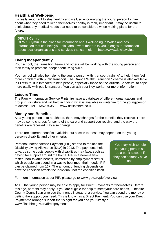## **Health and Well-being**

It's really important to stay healthy and well, so encouraging the young person to think about what they need to keep themselves healthy is really important. It may be useful to think about any medical needs that need to be considered when making plans for the future.

## **DEWIS Cymru**

DEWIS Cymru is the place for information about well-being in Wales and has information that can help you think about what matters to you, along with information about local organisations and services that can help. <https://www.dewis.wales/>

## **Living Independently**

Your school, the Transition Team and others will be working with the young person and their family to promote independent living skills.

Your school will also be helping the young person with 'transport training' to help them feel more confident with public transport. The Orange Wallet Transport Scheme is also available in Flintshire. It is intended to help people, especially those on the Autistic Spectrum, to cope more easily with public transport. You can ask your Key worker for more information.

## **Leisure Time**

The Family Information Service Flintshire have a database of different organisations and group in Flintshire and will help in finding what is available in Flintshire for the young person to access. Tel: 01352 703500 [www.fisflintshire.co.uk](http://www.fisflintshire.co.uk/)

#### **Money and Benefits**

As a young person in to adulthood, there may changes for the benefits they receive. There may be some charges for some of the care and support you receive, and the way the benefits are received may also change.

There are different benefits available, but access to these may depend on the young person's disability and other criteria.

Personal Independence Payment (PIP) started to replace the Disability Living Allowance (DLA) in 2013. The payments help towards some costs people with disabilities may face, such as paying for support around the home. PIP is a non-meanstested, non-taxable benefit, unaffected by employment status, which people can spend in a way to best meet their needs. PIP can be claimed from 16+. The amount of funding depends on how the condition affects the individual, not the condition itself.

You may wish to help the young person set up a bank account if they don't already have one.

For more information about PIP, please go to [www.gov.uk/pip/overview](http://www.gov.uk/pip/overview)

At 16, the young person may be able to apply for Direct Payments for themselves. Before this age, parents may apply. If you are eligible for help to meet your care needs, Flintshire County Council can give you the money instead of a service. You can spend the money on getting the support you need. This is known as a Direct Payment. You can use your Direct Payment to arrange support that is right for you and your lifestyle. [www.flintshire.gov.uk/directpayments](http://www.flintshire.gov.uk/directpayments)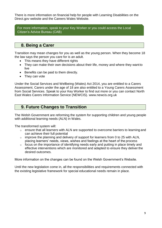There is more information on financial help for people with Learning Disabilities on the Direct.gov website and the Careers Wales Website.

For more information, speak to your Key Worker or you could access the Local Citizen's Advice Bureau (CAB)

## **8. Being a Carer**

Transition may mean changes for you as well as the young person. When they become 18 the law says the person you care for is an adult.

- This means they have different rights
- They can make their own decisions about their life, money and where they want to live
- Benefits can be paid to them directly.
- They can vote

Under the Social Services and Wellbeing (Wales) Act 2014, you are entitled to a Carers Assessment. Carers under the age of 18 are also entitled to a Young Carers Assessment from Social Services. Speak to your Key Worker to find out more or you can contact North East Wales Carers Information Service (NEWCIS). [www.newcis.org.uk](http://www.newcis.org.uk/)

# **9. Future Changes to Transition**

The Welsh Government are reforming the system for supporting children and young people with additional learning needs (ALN) in Wales.

The transformed system will:

- $\circ$  ensure that all learners with ALN are supported to overcome barriers to learning and can achieve their full potential
- $\circ$  improve the planning and delivery of support for learners from 0 to 25 with ALN, placing learners' needs, views, wishes and feelings at the heart of the process
- o focus on the importance of identifying needs early and putting in place timely and effective interventions which are monitored and adapted to ensure they deliver the desired outcomes.

More information on the changes can be found on the Welsh Government's Website.

Until the new legislation come in, all the responsibilities and requirements connected with the existing legislative framework for special educational needs remain in place.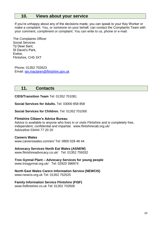## **10. Views about your service**

If you're unhappy about any of the decisions made, you can speak to your Key Worker or make a complaint. You, or someone on your behalf, can contact the Complaints Team with your comment, compliment or complaint. You can write to us, phone or e-mail:

The Complaints Officer Social Services Tŷ Dewi Sant, St David's Park, Ewloe, Flintshire, CH5 3XT

Phone: 01352 702623 Email: [ian.maclaren@flintshire.gov.uk](mailto:ian.maclaren@flintshire.gov.uk)

## **11. Contacts**

**CIDS/Transition Team** Tel: 01352 701081

**Social Services for Adults.** Tel: 03000 858 858

**Social Services for Children.** Tel: 01352 701000

#### **Flintshire Citizen's Advice Bureau**

Advice is available to anyone who lives in or visits Flintshire and is completely free, independent, confidential and impartial. [www.flintshirecab.org.uk/](http://www.flintshirecab.org.uk/) Adviceline 03444 77 20 20

#### **Careers Wales**

[www.careerswales.com/en/ T](http://www.careerswales.com/en/)el: 0800 028 48 44

#### **Advocacy Services North Eat Wales (ASNEW)**

[www.flintshireadvocacy.co.uk/](http://www.flintshireadvocacy.co.uk/) Tel: 01352 759332

**Tros Gynnal Plant – Advocacy Services for young people** [www.trosgynnal.org.uk/](http://www.trosgynnal.org.uk/) Tel: 02920 396974

#### **North East Wales Carers Information Service (NEWCIS)**

[www.newcis.org.uk](http://www.newcis.org.uk/) Tel: 01352 752525

#### **Family Information Service Flintshire (FISF)**

[www.fisflintshire.co.uk T](http://www.fisflintshire.co.uk/)el: 01352 703500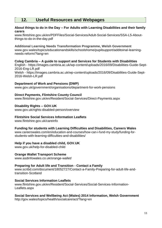# **12. Useful Resources and Webpages**

#### **About things to do in the Day – For Adults with Learning Disabilities and their family carers**

[www.flintshire.gov.uk/en/PDFFiles/Social-Services/Adult-Social-Services/SSA-L5-About](http://www.flintshire.gov.uk/en/PDFFiles/Social-Services/Adult-Social-Services/SSA-L5-About-)things-to-do-in-the-day.pdf

**Additional Learning Needs Transformation Programme, Welsh Government**  [www.gov.wales/topics/educationandskills/schoolshome/pupilsupport/additoinal-learning](http://www.gov.wales/topics/educationandskills/schoolshome/pupilsupport/additoinal-learning-)needs-reform/?lang=en

**Coleg Cambria – A guide to support and Services for Students with Disabilities**  English - https://images.cambria.ac.uk/wp-content/uploads/2016/09/Disabilities-Guide-Sept-2016-Eng-LR.pdf Welsh - https://images.cambria.ac.uk/wp-content/uploads/2016/09/Disabilities-Guide-Sept-2016-Welsh-LR.pdf

#### **Department of Work and Pensions (DWP)**

[www.gov.uk/government/organisations/department-for-work-pensions](http://www.gov.uk/government/organisations/department-for-work-pensions)

#### **Direct Payments, Flintshire County Council**

[www.flintshire.gov.uk/en/Resident/Social-Services/Direct-Payments.aspx](http://www.flintshire.gov.uk/en/Resident/Social-Services/Direct-Payments.aspx)

#### **Disability Rights – GOV.UK**

[www.gov.uk/rights-disabled-person/overview](http://www.gov.uk/rights-disabled-person/overview)

#### **Flintshire Social Services Information Leaflets**

[www.flintshire.gov.uk/careinfo](http://www.flintshire.gov.uk/careinfo)

#### **Funding for students with Learning Difficulties and Disabilities, Careers Wales**

[www.careerswales.com/en/education-and-courses/how-can-i-fund-my-study/funding-for](http://www.careerswales.com/en/education-and-courses/how-can-i-fund-my-study/funding-for-)students-with-learning-difficulties-and-disabilities/

#### **Help if you have a disabled child, GOV.UK**

[www.gov.uk/help-for-disabled-child](http://www.gov.uk/help-for-disabled-child)

#### **Orange Wallet Transport Scheme**

[www.asdinfowales.co.uk/orange-wallet/](http://www.asdinfowales.co.uk/orange-wallet/)

#### **Preparing for Adult life and Transition - Contact a Family**

[www.scribd.com/document/18052727/Contact-a-Family-Preparing-for-adult-life-and](http://www.scribd.com/document/18052727/Contact-a-Family-Preparing-for-adult-life-and-)transition-Scotland

#### **Social Services Information Leaflets**

[www.flintshire.gov.uk/en/Resident/Social-Services/Social-Services-Information-](http://www.flintshire.gov.uk/en/Resident/Social-Services/Social-Services-Information-)Leaflets.aspx

#### **Social Services and Wellbeing Act (Wales) 2014 Information, Welsh Government**

<http://gov.wales/topics/health/socialcare/act/?lang=en>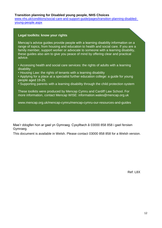#### **Transition planning for Disabled young people, NHS Choices**

[www.nhs.uk/conditions/social-care-and-support-guide/pages/transition-planning-disabled](http://www.nhs.uk/conditions/social-care-and-support-guide/pages/transition-planning-disabled-%20young-people.aspx)[young-people.aspx](http://www.nhs.uk/conditions/social-care-and-support-guide/pages/transition-planning-disabled-%20young-people.aspx)

#### **Legal toolkits: know your rights**

Mencap's advice guides provide people with a learning disability information on a range of topics, from housing and education to health and social care. If you are a family member, support worker or advocate to someone with a learning disability, these guides also aim to give you peace of mind by offering clear and practical advice.

• Accessing health and social care services: the rights of adults with a learning disability

• Housing Law: the rights of tenants with a learning disability

• Applying for a place at a specialist further education college: a guide for young people aged 19-25.

• Supporting parents with a learning disability through the child protection system

These toolkits were produced by Mencap Cymru and Cardiff Law School. For more information, contact Mencap WISE: [information.wales@mencap.org.uk](mailto:information.wales@mencap.org.uk)

[www.mencap.org.uk/mencap-cymru/mencap-cymru-our-resources-and-guides](http://www.mencap.org.uk/mencap-cymru/mencap-cymru-our-resources-and-guides)

Mae'r ddogfen hon ar gael yn Gymraeg. Cysylltwch â 03000 858 858 i gael fersiwn Gymraeg.

This document is available in Welsh. Please contact 03000 858 858 for a Welsh version.

Ref: L8X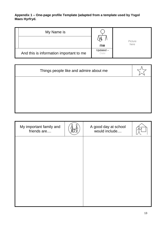#### **Appendix 1 – One-page profile Template (adapted from a template used by Ysgol Maes Hyrfryd.**

| My Name is                              | W۳               | Picture |  |
|-----------------------------------------|------------------|---------|--|
|                                         | me               | here    |  |
| And this is information important to me | Updated-<br>Date |         |  |

| My important family and<br>friends are | A good day at school<br>would include |  |
|----------------------------------------|---------------------------------------|--|
|                                        |                                       |  |
|                                        |                                       |  |
|                                        |                                       |  |
|                                        |                                       |  |
|                                        |                                       |  |